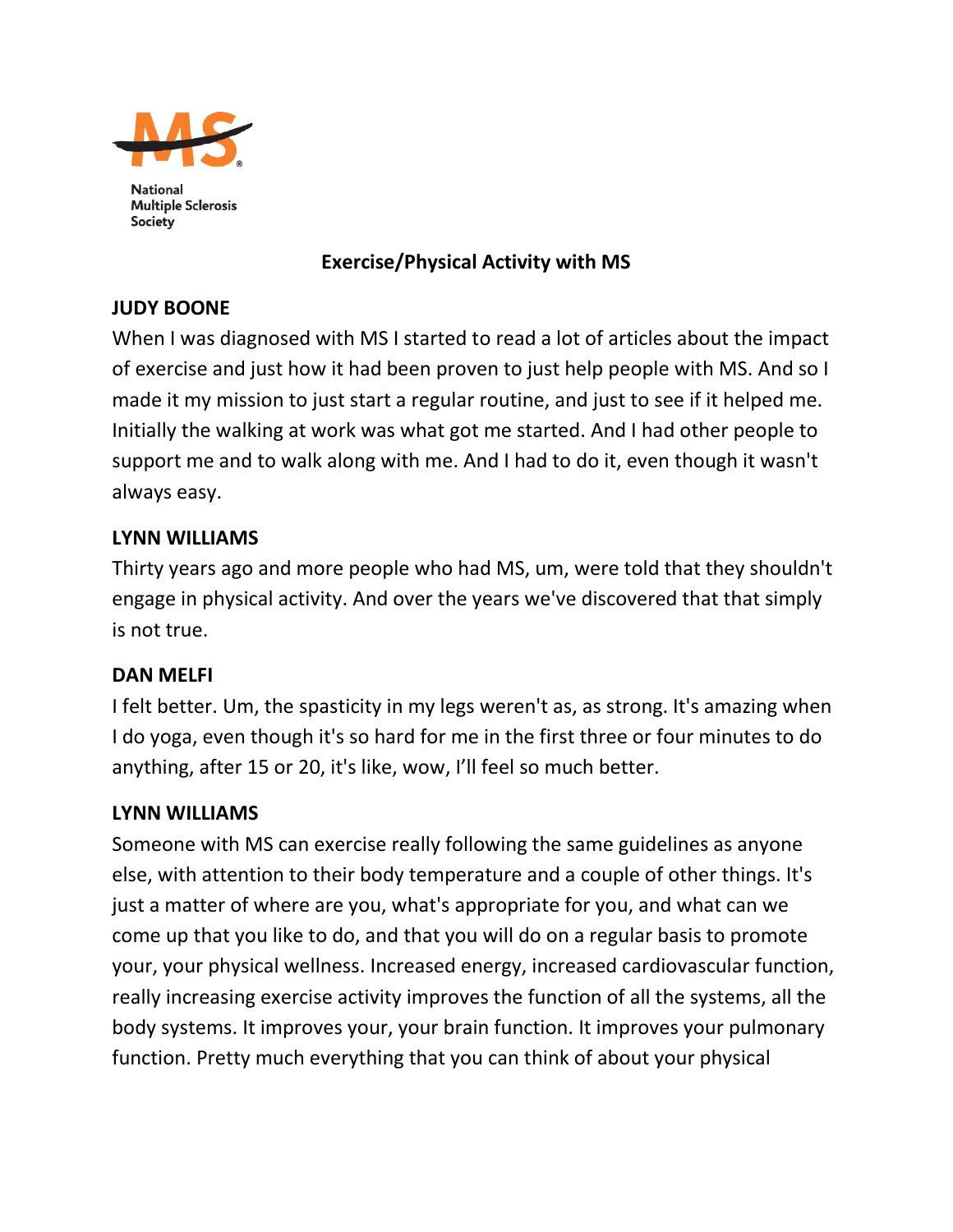

**National Multiple Sclerosis** Society

# **Exercise/Physical Activity with MS**

# **JUDY BOONE**

When I was diagnosed with MS I started to read a lot of articles about the impact of exercise and just how it had been proven to just help people with MS. And so I made it my mission to just start a regular routine, and just to see if it helped me. Initially the walking at work was what got me started. And I had other people to support me and to walk along with me. And I had to do it, even though it wasn't always easy.

#### **LYNN WILLIAMS**

Thirty years ago and more people who had MS, um, were told that they shouldn't engage in physical activity. And over the years we've discovered that that simply is not true.

# **DAN MELFI**

I felt better. Um, the spasticity in my legs weren't as, as strong. It's amazing when I do yoga, even though it's so hard for me in the first three or four minutes to do anything, after 15 or 20, it's like, wow, I'll feel so much better.

# **LYNN WILLIAMS**

Someone with MS can exercise really following the same guidelines as anyone else, with attention to their body temperature and a couple of other things. It's just a matter of where are you, what's appropriate for you, and what can we come up that you like to do, and that you will do on a regular basis to promote your, your physical wellness. Increased energy, increased cardiovascular function, really increasing exercise activity improves the function of all the systems, all the body systems. It improves your, your brain function. It improves your pulmonary function. Pretty much everything that you can think of about your physical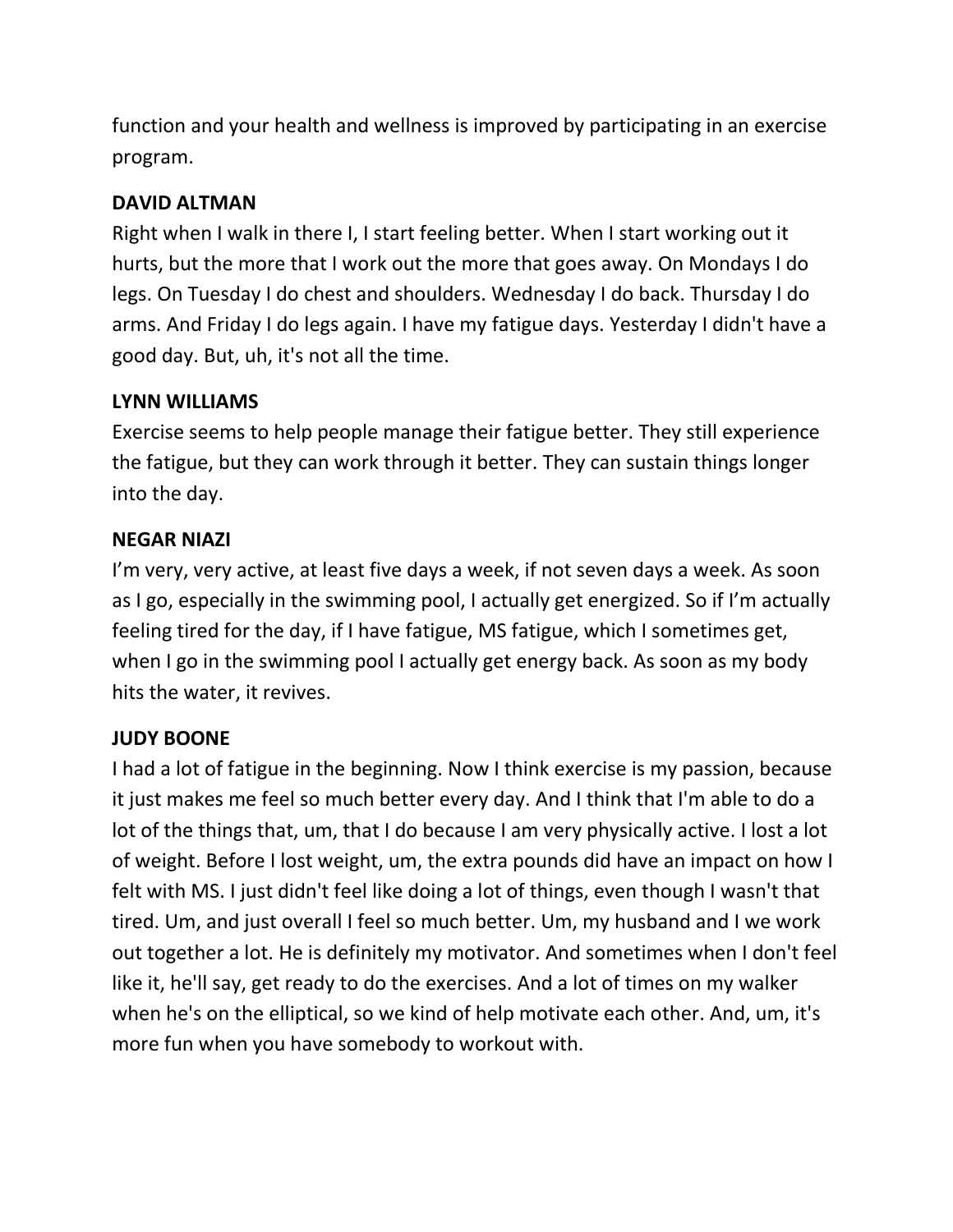function and your health and wellness is improved by participating in an exercise program.

# **DAVID ALTMAN**

Right when I walk in there I, I start feeling better. When I start working out it hurts, but the more that I work out the more that goes away. On Mondays I do legs. On Tuesday I do chest and shoulders. Wednesday I do back. Thursday I do arms. And Friday I do legs again. I have my fatigue days. Yesterday I didn't have a good day. But, uh, it's not all the time.

# **LYNN WILLIAMS**

Exercise seems to help people manage their fatigue better. They still experience the fatigue, but they can work through it better. They can sustain things longer into the day.

# **NEGAR NIAZI**

I'm very, very active, at least five days a week, if not seven days a week. As soon as I go, especially in the swimming pool, I actually get energized. So if I'm actually feeling tired for the day, if I have fatigue, MS fatigue, which I sometimes get, when I go in the swimming pool I actually get energy back. As soon as my body hits the water, it revives.

# **JUDY BOONE**

I had a lot of fatigue in the beginning. Now I think exercise is my passion, because it just makes me feel so much better every day. And I think that I'm able to do a lot of the things that, um, that I do because I am very physically active. I lost a lot of weight. Before I lost weight, um, the extra pounds did have an impact on how I felt with MS. I just didn't feel like doing a lot of things, even though I wasn't that tired. Um, and just overall I feel so much better. Um, my husband and I we work out together a lot. He is definitely my motivator. And sometimes when I don't feel like it, he'll say, get ready to do the exercises. And a lot of times on my walker when he's on the elliptical, so we kind of help motivate each other. And, um, it's more fun when you have somebody to workout with.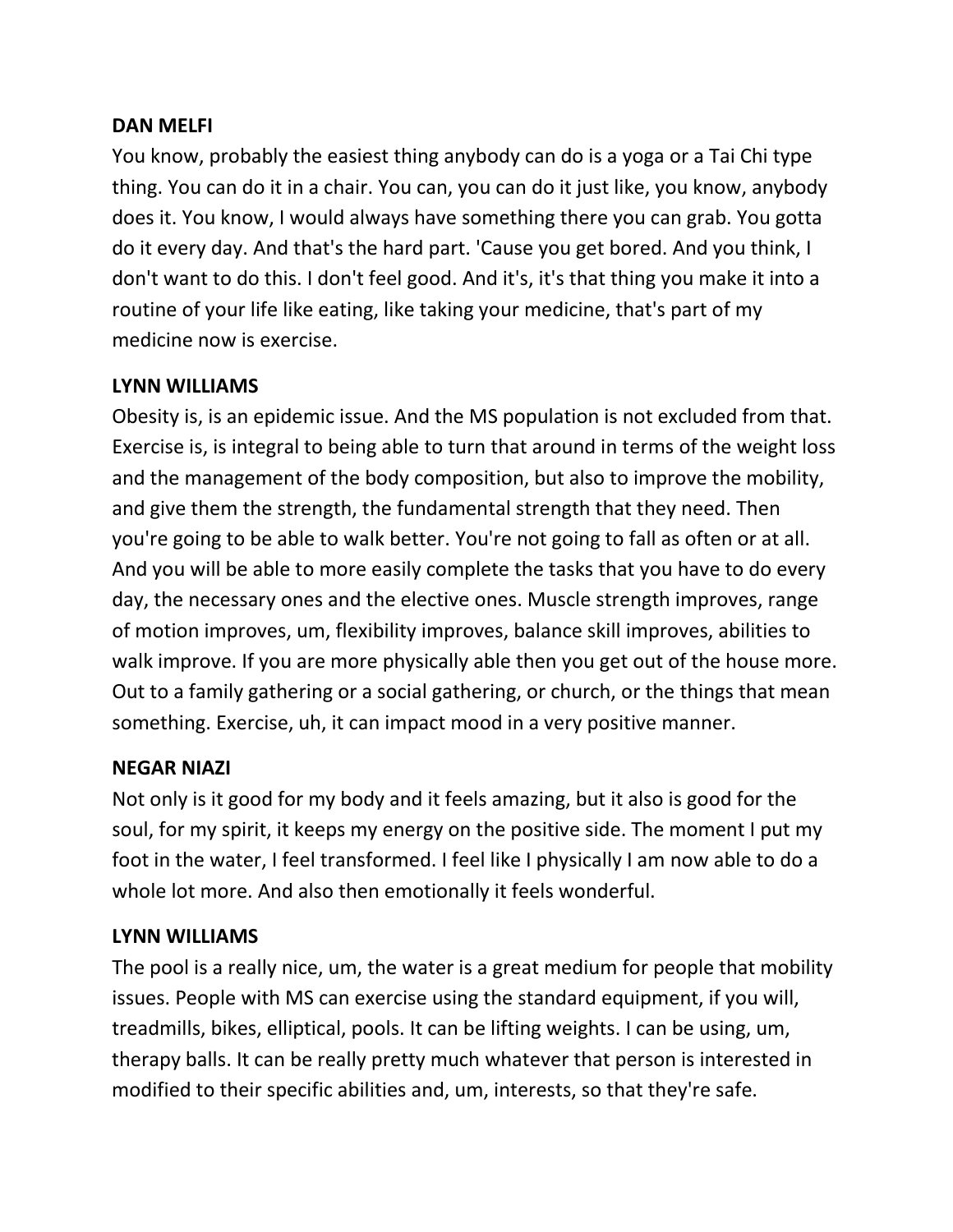#### **DAN MELFI**

You know, probably the easiest thing anybody can do is a yoga or a Tai Chi type thing. You can do it in a chair. You can, you can do it just like, you know, anybody does it. You know, I would always have something there you can grab. You gotta do it every day. And that's the hard part. 'Cause you get bored. And you think, I don't want to do this. I don't feel good. And it's, it's that thing you make it into a routine of your life like eating, like taking your medicine, that's part of my medicine now is exercise.

#### **LYNN WILLIAMS**

Obesity is, is an epidemic issue. And the MS population is not excluded from that. Exercise is, is integral to being able to turn that around in terms of the weight loss and the management of the body composition, but also to improve the mobility, and give them the strength, the fundamental strength that they need. Then you're going to be able to walk better. You're not going to fall as often or at all. And you will be able to more easily complete the tasks that you have to do every day, the necessary ones and the elective ones. Muscle strength improves, range of motion improves, um, flexibility improves, balance skill improves, abilities to walk improve. If you are more physically able then you get out of the house more. Out to a family gathering or a social gathering, or church, or the things that mean something. Exercise, uh, it can impact mood in a very positive manner.

#### **NEGAR NIAZI**

Not only is it good for my body and it feels amazing, but it also is good for the soul, for my spirit, it keeps my energy on the positive side. The moment I put my foot in the water, I feel transformed. I feel like I physically I am now able to do a whole lot more. And also then emotionally it feels wonderful.

# **LYNN WILLIAMS**

The pool is a really nice, um, the water is a great medium for people that mobility issues. People with MS can exercise using the standard equipment, if you will, treadmills, bikes, elliptical, pools. It can be lifting weights. I can be using, um, therapy balls. It can be really pretty much whatever that person is interested in modified to their specific abilities and, um, interests, so that they're safe.